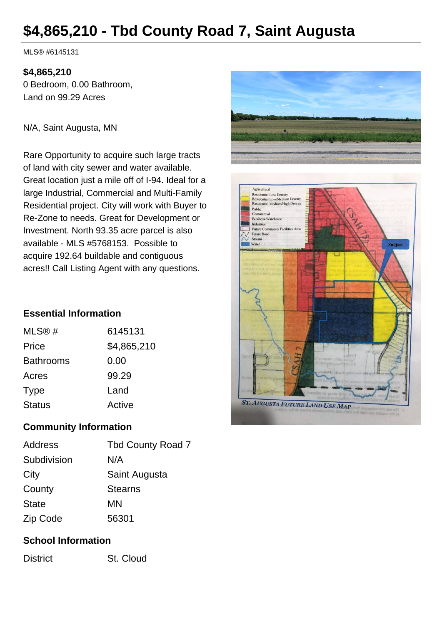# **\$4,865,210 - Tbd County Road 7, Saint Augusta**

MLS® #6145131

#### **\$4,865,210**

0 Bedroom, 0.00 Bathroom, Land on 99.29 Acres

N/A, Saint Augusta, MN

Rare Opportunity to acquire such large tracts of land with city sewer and water available. Great location just a mile off of I-94. Ideal for a large Industrial, Commercial and Multi-Family Residential project. City will work with Buyer to Re-Zone to needs. Great for Development or Investment. North 93.35 acre parcel is also available - MLS #5768153. Possible to acquire 192.64 buildable and contiguous acres!! Call Listing Agent with any questions.

#### **Essential Information**

| MLS@#            | 6145131     |
|------------------|-------------|
| Price            | \$4,865,210 |
| <b>Bathrooms</b> | 0.00        |
| Acres            | 99.29       |
| <b>Type</b>      | Land        |
| <b>Status</b>    | Active      |
|                  |             |

## **Community Information**

| Address      | <b>Tbd County Road 7</b> |
|--------------|--------------------------|
| Subdivision  | N/A                      |
| City         | Saint Augusta            |
| County       | <b>Stearns</b>           |
| <b>State</b> | MN                       |
| Zip Code     | 56301                    |

#### **School Information**

District St. Cloud